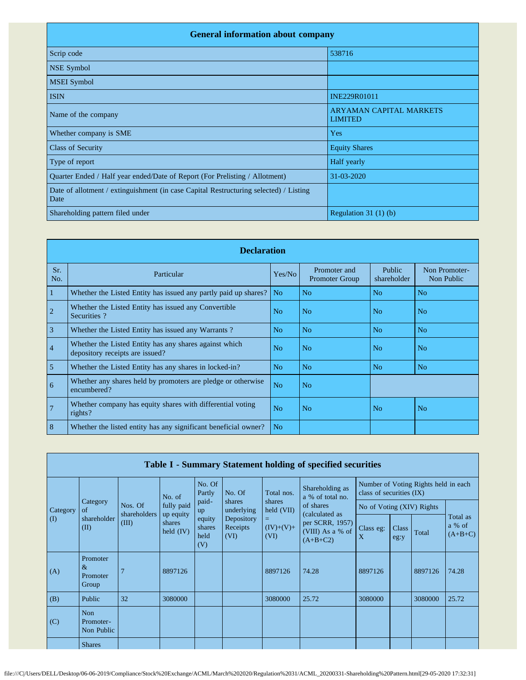| <b>General information about company</b>                                                      |                                                  |
|-----------------------------------------------------------------------------------------------|--------------------------------------------------|
| Scrip code                                                                                    | 538716                                           |
| <b>NSE Symbol</b>                                                                             |                                                  |
| <b>MSEI</b> Symbol                                                                            |                                                  |
| <b>ISIN</b>                                                                                   | INE229R01011                                     |
| Name of the company                                                                           | <b>ARYAMAN CAPITAL MARKETS</b><br><b>LIMITED</b> |
| Whether company is SME                                                                        | Yes                                              |
| <b>Class of Security</b>                                                                      | <b>Equity Shares</b>                             |
| Type of report                                                                                | Half yearly                                      |
| Quarter Ended / Half year ended/Date of Report (For Prelisting / Allotment)                   | 31-03-2020                                       |
| Date of allotment / extinguishment (in case Capital Restructuring selected) / Listing<br>Date |                                                  |
| Shareholding pattern filed under                                                              | Regulation $31(1)(b)$                            |

|                 | <b>Declaration</b>                                                                        |                |                                       |                       |                             |  |
|-----------------|-------------------------------------------------------------------------------------------|----------------|---------------------------------------|-----------------------|-----------------------------|--|
| Sr.<br>No.      | Particular                                                                                | Yes/No         | Promoter and<br><b>Promoter Group</b> | Public<br>shareholder | Non Promoter-<br>Non Public |  |
| $\overline{1}$  | Whether the Listed Entity has issued any partly paid up shares?                           | N <sub>o</sub> | N <sub>o</sub>                        | N <sub>o</sub>        | No                          |  |
| $\overline{2}$  | Whether the Listed Entity has issued any Convertible<br>Securities?                       | No             | N <sub>o</sub>                        | N <sub>0</sub>        | No                          |  |
| $\overline{3}$  | Whether the Listed Entity has issued any Warrants?                                        | N <sub>o</sub> | N <sub>o</sub>                        | N <sub>o</sub>        | N <sub>o</sub>              |  |
| $\overline{4}$  | Whether the Listed Entity has any shares against which<br>depository receipts are issued? | No             | N <sub>o</sub>                        | N <sub>o</sub>        | No                          |  |
| $\overline{5}$  | Whether the Listed Entity has any shares in locked-in?                                    | N <sub>o</sub> | N <sub>o</sub>                        | N <sub>o</sub>        | N <sub>o</sub>              |  |
| $6\overline{6}$ | Whether any shares held by promoters are pledge or otherwise<br>encumbered?               | No             | N <sub>o</sub>                        |                       |                             |  |
| $\overline{7}$  | Whether company has equity shares with differential voting<br>rights?                     | N <sub>o</sub> | N <sub>o</sub>                        | N <sub>o</sub>        | N <sub>o</sub>              |  |
| 8               | Whether the listed entity has any significant beneficial owner?                           | N <sub>o</sub> |                                       |                       |                             |  |

|          | Table I - Summary Statement holding of specified securities |                         |                                    |                                 |                                |                                                  |                                                                     |                                                                    |               |         |                                 |
|----------|-------------------------------------------------------------|-------------------------|------------------------------------|---------------------------------|--------------------------------|--------------------------------------------------|---------------------------------------------------------------------|--------------------------------------------------------------------|---------------|---------|---------------------------------|
|          |                                                             |                         | No. of                             | No. Of<br>Partly                | No. Of                         | Total nos.                                       | Shareholding as<br>a % of total no.                                 | Number of Voting Rights held in each<br>class of securities $(IX)$ |               |         |                                 |
| Category | Category<br>of                                              | Nos. Of                 | fully paid                         | paid-<br>up                     | shares<br>underlying           | shares<br>held (VII)<br>Ξ<br>$(IV)+(V)+$<br>(VI) | of shares                                                           | No of Voting (XIV) Rights                                          |               |         |                                 |
| (I)      | shareholder<br>(II)                                         | shareholders  <br>(III) | up equity<br>shares<br>held $(IV)$ | equity<br>shares<br>held<br>(V) | Depository<br>Receipts<br>(VI) |                                                  | (calculated as<br>per SCRR, 1957)<br>(VIII) As a % of<br>$(A+B+C2)$ | Class eg:<br>X                                                     | Class<br>eg:y | Total   | Total as<br>a % of<br>$(A+B+C)$ |
| (A)      | Promoter<br>$\&$<br>Promoter<br>Group                       | $\overline{7}$          | 8897126                            |                                 |                                | 8897126                                          | 74.28                                                               | 8897126                                                            |               | 8897126 | 74.28                           |
| (B)      | Public                                                      | 32                      | 3080000                            |                                 |                                | 3080000                                          | 25.72                                                               | 3080000                                                            |               | 3080000 | 25.72                           |
| (C)      | Non<br>Promoter-<br>Non Public                              |                         |                                    |                                 |                                |                                                  |                                                                     |                                                                    |               |         |                                 |
|          | <b>Shares</b>                                               |                         |                                    |                                 |                                |                                                  |                                                                     |                                                                    |               |         |                                 |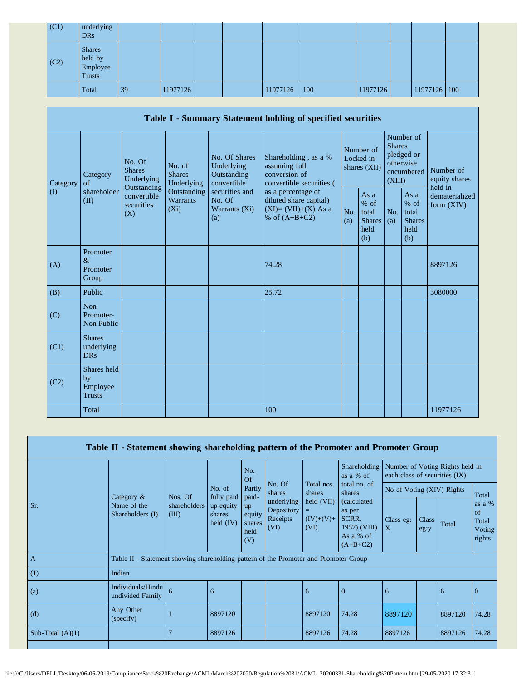| (C1) | underlying<br><b>DRs</b>                              |    |          |  |          |     |          |              |  |
|------|-------------------------------------------------------|----|----------|--|----------|-----|----------|--------------|--|
| (C2) | <b>Shares</b><br>held by<br>Employee<br><b>Trusts</b> |    |          |  |          |     |          |              |  |
|      | Total                                                 | 39 | 11977126 |  | 11977126 | 100 | 11977126 | 11977126 100 |  |

|                   |                                                   |                                                                                                                                            |             |                                                           | Table I - Summary Statement holding of specified securities                              |                                                                       |                                        |                                                         |                                                                               |                                       |  |
|-------------------|---------------------------------------------------|--------------------------------------------------------------------------------------------------------------------------------------------|-------------|-----------------------------------------------------------|------------------------------------------------------------------------------------------|-----------------------------------------------------------------------|----------------------------------------|---------------------------------------------------------|-------------------------------------------------------------------------------|---------------------------------------|--|
| Category          | Category<br>of<br>shareholder<br>(II)<br>Promoter | No. Of<br>No. of<br><b>Shares</b><br><b>Shares</b><br>Underlying<br>Outstanding<br>convertible<br>Warrants<br>securities<br>$(X_i)$<br>(X) | Underlying  | No. Of Shares<br>Underlying<br>Outstanding<br>convertible | Shareholding, as a %<br>assuming full<br>conversion of<br>convertible securities (       |                                                                       | Number of<br>Locked in<br>shares (XII) |                                                         | Number of<br><b>Shares</b><br>pledged or<br>otherwise<br>encumbered<br>(XIII) | Number of<br>equity shares<br>held in |  |
| $\textcircled{1}$ |                                                   |                                                                                                                                            | Outstanding | securities and<br>No. Of<br>Warrants (Xi)<br>(a)          | as a percentage of<br>diluted share capital)<br>$(XI)=(VII)+(X) As a$<br>% of $(A+B+C2)$ | As a<br>$%$ of<br>No.<br>total<br><b>Shares</b><br>(a)<br>held<br>(b) | No.<br>(a)                             | As a<br>$%$ of<br>total<br><b>Shares</b><br>held<br>(b) | dematerialized<br>form $(XIV)$                                                |                                       |  |
| (A)               | $\&$<br>Promoter<br>Group                         |                                                                                                                                            |             |                                                           | 74.28                                                                                    |                                                                       |                                        |                                                         |                                                                               | 8897126                               |  |
| (B)               | Public                                            |                                                                                                                                            |             |                                                           | 25.72                                                                                    |                                                                       |                                        |                                                         |                                                                               | 3080000                               |  |
| (C)               | <b>Non</b><br>Promoter-<br>Non Public             |                                                                                                                                            |             |                                                           |                                                                                          |                                                                       |                                        |                                                         |                                                                               |                                       |  |
| (C1)              | <b>Shares</b><br>underlying<br><b>DRs</b>         |                                                                                                                                            |             |                                                           |                                                                                          |                                                                       |                                        |                                                         |                                                                               |                                       |  |
| (C2)              | Shares held<br>by<br>Employee<br><b>Trusts</b>    |                                                                                                                                            |             |                                                           |                                                                                          |                                                                       |                                        |                                                         |                                                                               |                                       |  |
|                   | Total                                             |                                                                                                                                            |             |                                                           | 100                                                                                      |                                                                       |                                        |                                                         |                                                                               | 11977126                              |  |

|                    | Table II - Statement showing shareholding pattern of the Promoter and Promoter Group |                                  |                                                                                           |                 |                                              |                                                 |                                                                                                                                  |                                                                  |               |         |                                             |
|--------------------|--------------------------------------------------------------------------------------|----------------------------------|-------------------------------------------------------------------------------------------|-----------------|----------------------------------------------|-------------------------------------------------|----------------------------------------------------------------------------------------------------------------------------------|------------------------------------------------------------------|---------------|---------|---------------------------------------------|
|                    |                                                                                      |                                  | No. of                                                                                    | No.<br>Of       |                                              |                                                 | Shareholding<br>as a % of<br>total no. of<br>shares<br>(calculated<br>as per<br>SCRR.<br>1957) (VIII)<br>As a % of<br>$(A+B+C2)$ | Number of Voting Rights held in<br>each class of securities (IX) |               |         |                                             |
|                    | Category $\&$<br>Name of the<br>Shareholders (I)                                     |                                  |                                                                                           | Partly<br>paid- | No. Of<br>Total nos.<br>shares<br>shares     | No of Voting (XIV) Rights                       |                                                                                                                                  |                                                                  | Total         |         |                                             |
| Sr.                |                                                                                      | Nos. Of<br>shareholders<br>(III) | fully paid<br>up equity<br>up<br>equity<br>shares<br>held $(IV)$<br>shares<br>held<br>(V) |                 | underlying<br>Depository<br>Receipts<br>(VI) | $\text{held (VII)}$<br>=<br>$(IV)+(V)+$<br>(VI) |                                                                                                                                  | Class eg:<br>$\mathbf{X}$                                        | Class<br>eg:y | Total   | as a $%$<br>of<br>Total<br>Voting<br>rights |
| $\overline{A}$     | Table II - Statement showing shareholding pattern of the Promoter and Promoter Group |                                  |                                                                                           |                 |                                              |                                                 |                                                                                                                                  |                                                                  |               |         |                                             |
| (1)                | Indian                                                                               |                                  |                                                                                           |                 |                                              |                                                 |                                                                                                                                  |                                                                  |               |         |                                             |
| (a)                | Individuals/Hindu<br>undivided Family                                                | 6                                | 6                                                                                         |                 |                                              | 6                                               | $\overline{0}$                                                                                                                   | 6                                                                |               | 6       | $\theta$                                    |
| (d)                | Any Other<br>(specify)                                                               |                                  | 8897120                                                                                   |                 |                                              | 8897120                                         | 74.28                                                                                                                            | 8897120                                                          |               | 8897120 | 74.28                                       |
| Sub-Total $(A)(1)$ |                                                                                      |                                  | 8897126                                                                                   |                 |                                              | 8897126                                         | 74.28                                                                                                                            | 8897126                                                          |               | 8897126 | 74.28                                       |
|                    |                                                                                      |                                  |                                                                                           |                 |                                              |                                                 |                                                                                                                                  |                                                                  |               |         |                                             |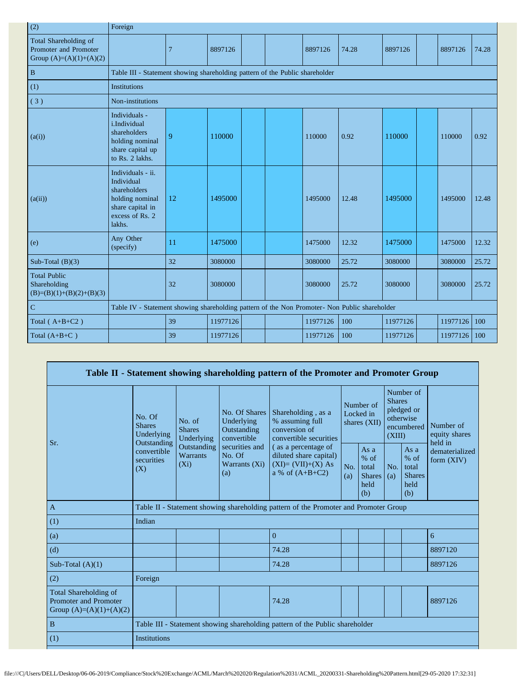| (2)                                                                         | Foreign                                                                                                             |                                                                                               |          |  |  |          |       |          |  |          |       |
|-----------------------------------------------------------------------------|---------------------------------------------------------------------------------------------------------------------|-----------------------------------------------------------------------------------------------|----------|--|--|----------|-------|----------|--|----------|-------|
| Total Shareholding of<br>Promoter and Promoter<br>Group $(A)=(A)(1)+(A)(2)$ |                                                                                                                     | $\overline{7}$                                                                                | 8897126  |  |  | 8897126  | 74.28 | 8897126  |  | 8897126  | 74.28 |
| $\, {\bf B}$                                                                | Table III - Statement showing shareholding pattern of the Public shareholder                                        |                                                                                               |          |  |  |          |       |          |  |          |       |
| (1)                                                                         | <b>Institutions</b>                                                                                                 |                                                                                               |          |  |  |          |       |          |  |          |       |
| (3)                                                                         | Non-institutions                                                                                                    |                                                                                               |          |  |  |          |       |          |  |          |       |
| (a(i))                                                                      | Individuals -<br><i>i.Individual</i><br>shareholders<br>holding nominal<br>share capital up<br>to Rs. 2 lakhs.      | 9                                                                                             | 110000   |  |  | 110000   | 0.92  | 110000   |  | 110000   | 0.92  |
| (a(ii))                                                                     | Individuals - ii.<br>Individual<br>shareholders<br>holding nominal<br>share capital in<br>excess of Rs. 2<br>lakhs. | 12                                                                                            | 1495000  |  |  | 1495000  | 12.48 | 1495000  |  | 1495000  | 12.48 |
| (e)                                                                         | Any Other<br>(specify)                                                                                              | 11                                                                                            | 1475000  |  |  | 1475000  | 12.32 | 1475000  |  | 1475000  | 12.32 |
| Sub-Total $(B)(3)$                                                          |                                                                                                                     | 32                                                                                            | 3080000  |  |  | 3080000  | 25.72 | 3080000  |  | 3080000  | 25.72 |
| <b>Total Public</b><br>Shareholding<br>$(B)=(B)(1)+(B)(2)+(B)(3)$           |                                                                                                                     | 32                                                                                            | 3080000  |  |  | 3080000  | 25.72 | 3080000  |  | 3080000  | 25.72 |
| $\overline{C}$                                                              |                                                                                                                     | Table IV - Statement showing shareholding pattern of the Non Promoter- Non Public shareholder |          |  |  |          |       |          |  |          |       |
| Total $(A+B+C2)$                                                            |                                                                                                                     | 39                                                                                            | 11977126 |  |  | 11977126 | 100   | 11977126 |  | 11977126 | 100   |
| Total $(A+B+C)$                                                             |                                                                                                                     | 39                                                                                            | 11977126 |  |  | 11977126 | 100   | 11977126 |  | 11977126 | 100   |

|                                                                                    |                                                                               |                                       |                                                           | Table II - Statement showing shareholding pattern of the Promoter and Promoter Group      |            |                                                         |                         |                                                         |                                       |  |
|------------------------------------------------------------------------------------|-------------------------------------------------------------------------------|---------------------------------------|-----------------------------------------------------------|-------------------------------------------------------------------------------------------|------------|---------------------------------------------------------|-------------------------|---------------------------------------------------------|---------------------------------------|--|
| Sr.                                                                                | No. Of<br><b>Shares</b><br>Underlying<br>Outstanding                          | No. of<br><b>Shares</b><br>Underlying | No. Of Shares<br>Underlying<br>Outstanding<br>convertible | Shareholding, as a<br>% assuming full<br>conversion of<br>convertible securities          |            | Number of<br>Locked in<br>shares (XII)                  | <b>Shares</b><br>(XIII) | Number of<br>pledged or<br>otherwise<br>encumbered      | Number of<br>equity shares<br>held in |  |
|                                                                                    | Outstanding<br>convertible<br><b>Warrants</b><br>securities<br>$(X_i)$<br>(X) |                                       | securities and<br>No. Of<br>Warrants (Xi)<br>(a)          | (as a percentage of<br>diluted share capital)<br>$(XI)=(VII)+(X) As$<br>a % of $(A+B+C2)$ | No.<br>(a) | As a<br>$%$ of<br>total<br><b>Shares</b><br>held<br>(b) | No.<br>(a)              | As a<br>$%$ of<br>total<br><b>Shares</b><br>held<br>(b) | dematerialized<br>form (XIV)          |  |
| $\mathbf{A}$                                                                       |                                                                               |                                       |                                                           | Table II - Statement showing shareholding pattern of the Promoter and Promoter Group      |            |                                                         |                         |                                                         |                                       |  |
| (1)                                                                                | Indian                                                                        |                                       |                                                           |                                                                                           |            |                                                         |                         |                                                         |                                       |  |
| (a)                                                                                |                                                                               |                                       |                                                           | $\Omega$                                                                                  |            |                                                         |                         |                                                         | 6                                     |  |
| (d)                                                                                |                                                                               |                                       |                                                           | 74.28                                                                                     |            |                                                         |                         |                                                         | 8897120                               |  |
| Sub-Total $(A)(1)$                                                                 |                                                                               |                                       |                                                           | 74.28                                                                                     |            |                                                         |                         |                                                         | 8897126                               |  |
| (2)                                                                                | Foreign                                                                       |                                       |                                                           |                                                                                           |            |                                                         |                         |                                                         |                                       |  |
| Total Shareholding of<br><b>Promoter and Promoter</b><br>Group $(A)=(A)(1)+(A)(2)$ |                                                                               |                                       |                                                           | 74.28                                                                                     |            |                                                         |                         |                                                         | 8897126                               |  |
| $\, {\bf B}$                                                                       | Table III - Statement showing shareholding pattern of the Public shareholder  |                                       |                                                           |                                                                                           |            |                                                         |                         |                                                         |                                       |  |
| (1)                                                                                | <b>Institutions</b>                                                           |                                       |                                                           |                                                                                           |            |                                                         |                         |                                                         |                                       |  |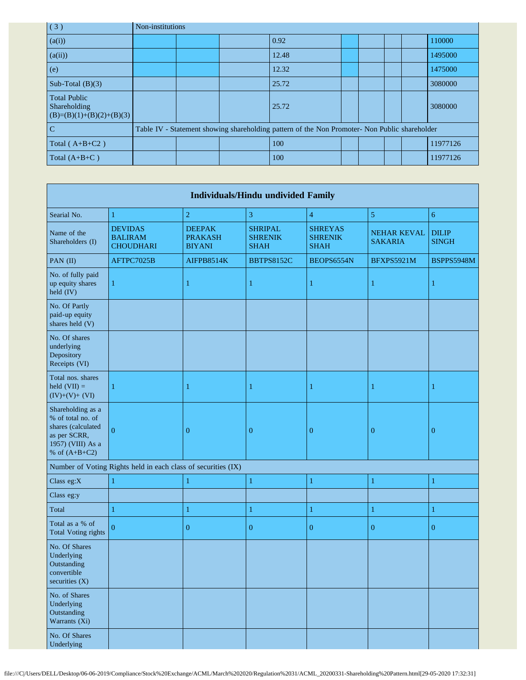| (3)                                                               | Non-institutions |                                                                                               |  |       |  |  |  |  |          |
|-------------------------------------------------------------------|------------------|-----------------------------------------------------------------------------------------------|--|-------|--|--|--|--|----------|
| (a(i))                                                            |                  |                                                                                               |  | 0.92  |  |  |  |  | 110000   |
| (a(ii))                                                           |                  |                                                                                               |  | 12.48 |  |  |  |  | 1495000  |
| (e)                                                               |                  |                                                                                               |  | 12.32 |  |  |  |  | 1475000  |
| Sub-Total $(B)(3)$                                                |                  |                                                                                               |  | 25.72 |  |  |  |  | 3080000  |
| <b>Total Public</b><br>Shareholding<br>$(B)=(B)(1)+(B)(2)+(B)(3)$ |                  |                                                                                               |  | 25.72 |  |  |  |  | 3080000  |
| $\mathcal{C}$                                                     |                  | Table IV - Statement showing shareholding pattern of the Non Promoter- Non Public shareholder |  |       |  |  |  |  |          |
| Total ( $A+B+C2$ )                                                |                  |                                                                                               |  | 100   |  |  |  |  | 11977126 |
| Total $(A+B+C)$                                                   |                  |                                                                                               |  | 100   |  |  |  |  | 11977126 |

|                                                                                                                      |                                                               |                                                  | <b>Individuals/Hindu undivided Family</b>       |                                                 |                                      |                              |
|----------------------------------------------------------------------------------------------------------------------|---------------------------------------------------------------|--------------------------------------------------|-------------------------------------------------|-------------------------------------------------|--------------------------------------|------------------------------|
| Searial No.                                                                                                          | $\mathbf{1}$                                                  | $\overline{c}$                                   | 3                                               | $\overline{4}$                                  | 5                                    | $\overline{6}$               |
| Name of the<br>Shareholders (I)                                                                                      | <b>DEVIDAS</b><br><b>BALIRAM</b><br><b>CHOUDHARI</b>          | <b>DEEPAK</b><br><b>PRAKASH</b><br><b>BIYANI</b> | <b>SHRIPAL</b><br><b>SHRENIK</b><br><b>SHAH</b> | <b>SHREYAS</b><br><b>SHRENIK</b><br><b>SHAH</b> | <b>NEHAR KEVAL</b><br><b>SAKARIA</b> | <b>DILIP</b><br><b>SINGH</b> |
| PAN (II)                                                                                                             | AFTPC7025B                                                    | AIFPB8514K                                       | <b>BBTPS8152C</b>                               | BEOPS6554N                                      | BFXPS5921M                           | BSPPS5948M                   |
| No. of fully paid<br>up equity shares<br>held (IV)                                                                   | $\mathbf{1}$                                                  | 1                                                | 1                                               | $\mathbf{1}$                                    | 1                                    | 1                            |
| No. Of Partly<br>paid-up equity<br>shares held (V)                                                                   |                                                               |                                                  |                                                 |                                                 |                                      |                              |
| No. Of shares<br>underlying<br>Depository<br>Receipts (VI)                                                           |                                                               |                                                  |                                                 |                                                 |                                      |                              |
| Total nos. shares<br>held $(VII) =$<br>$(IV)+(V)+(VI)$                                                               | 1                                                             | 1                                                | 1                                               | $\mathbf{1}$                                    | 1                                    | 1                            |
| Shareholding as a<br>% of total no. of<br>shares (calculated<br>as per SCRR,<br>1957) (VIII) As a<br>% of $(A+B+C2)$ | $\overline{0}$                                                | $\boldsymbol{0}$                                 | $\overline{0}$                                  | $\boldsymbol{0}$                                | $\mathbf{0}$                         | $\boldsymbol{0}$             |
|                                                                                                                      | Number of Voting Rights held in each class of securities (IX) |                                                  |                                                 |                                                 |                                      |                              |
| Class eg:X                                                                                                           | $\mathbf{1}$                                                  | 1                                                | $\mathbf{1}$                                    | $\mathbf{1}$                                    | $\mathbf{1}$                         | $\mathbf{1}$                 |
| Class eg:y                                                                                                           |                                                               |                                                  |                                                 |                                                 |                                      |                              |
| Total                                                                                                                | $\mathbf{1}$                                                  | $\mathbf{1}$                                     | $\mathbf{1}$                                    | $\mathbf{1}$                                    | $\mathbf{1}$                         | $\mathbf{1}$                 |
| Total as a % of<br><b>Total Voting rights</b>                                                                        | $\theta$                                                      | $\overline{0}$                                   | $\overline{0}$                                  | $\mathbf{0}$                                    | $\overline{0}$                       | $\overline{0}$               |
| No. Of Shares<br>Underlying<br>Outstanding<br>convertible<br>securities $(X)$                                        |                                                               |                                                  |                                                 |                                                 |                                      |                              |
| No. of Shares<br>Underlying<br>Outstanding<br>Warrants (Xi)                                                          |                                                               |                                                  |                                                 |                                                 |                                      |                              |
| No. Of Shares<br>Underlying                                                                                          |                                                               |                                                  |                                                 |                                                 |                                      |                              |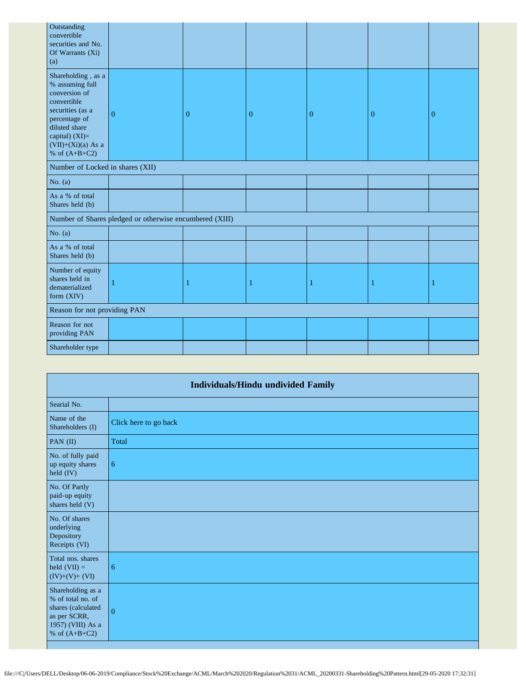| Outstanding<br>convertible<br>securities and No.<br>Of Warrants (Xi)<br>(a)                                                                                                                |                                                         |                |          |              |                |   |
|--------------------------------------------------------------------------------------------------------------------------------------------------------------------------------------------|---------------------------------------------------------|----------------|----------|--------------|----------------|---|
| Shareholding, as a<br>% assuming full<br>conversion of<br>convertible<br>securities (as a<br>percentage of<br>diluted share<br>capital) $(XI)=$<br>$(VII)+(Xi)(a)$ As a<br>% of $(A+B+C2)$ | $\overline{0}$                                          | $\overline{0}$ | $\theta$ | $\mathbf{0}$ | $\overline{0}$ | 0 |
| Number of Locked in shares (XII)                                                                                                                                                           |                                                         |                |          |              |                |   |
| No. $(a)$                                                                                                                                                                                  |                                                         |                |          |              |                |   |
| As a % of total<br>Shares held (b)                                                                                                                                                         |                                                         |                |          |              |                |   |
|                                                                                                                                                                                            | Number of Shares pledged or otherwise encumbered (XIII) |                |          |              |                |   |
| No. $(a)$                                                                                                                                                                                  |                                                         |                |          |              |                |   |
| As a % of total<br>Shares held (b)                                                                                                                                                         |                                                         |                |          |              |                |   |
| Number of equity<br>shares held in<br>dematerialized<br>form (XIV)                                                                                                                         |                                                         | -1             | 1        | 1            | 1              |   |
| Reason for not providing PAN                                                                                                                                                               |                                                         |                |          |              |                |   |
| Reason for not<br>providing PAN                                                                                                                                                            |                                                         |                |          |              |                |   |
| Shareholder type                                                                                                                                                                           |                                                         |                |          |              |                |   |

| <b>Individuals/Hindu undivided Family</b>                                                                            |                       |  |  |  |  |  |
|----------------------------------------------------------------------------------------------------------------------|-----------------------|--|--|--|--|--|
| Searial No.                                                                                                          |                       |  |  |  |  |  |
| Name of the<br>Shareholders (I)                                                                                      | Click here to go back |  |  |  |  |  |
| PAN (II)                                                                                                             | Total                 |  |  |  |  |  |
| No. of fully paid<br>up equity shares<br>held (IV)                                                                   | 6                     |  |  |  |  |  |
| No. Of Partly<br>paid-up equity<br>shares held (V)                                                                   |                       |  |  |  |  |  |
| No. Of shares<br>underlying<br>Depository<br>Receipts (VI)                                                           |                       |  |  |  |  |  |
| Total nos. shares<br>held $(VII) =$<br>$(IV)+(V)+(VI)$                                                               | 6                     |  |  |  |  |  |
| Shareholding as a<br>% of total no. of<br>shares (calculated<br>as per SCRR,<br>1957) (VIII) As a<br>% of $(A+B+C2)$ | $\Omega$              |  |  |  |  |  |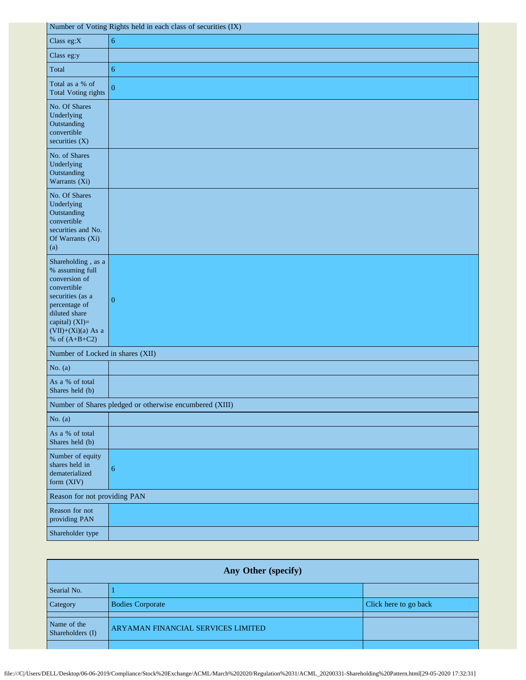| Number of Voting Rights held in each class of securities (IX)                                                                                                                            |                                                         |  |  |  |  |
|------------------------------------------------------------------------------------------------------------------------------------------------------------------------------------------|---------------------------------------------------------|--|--|--|--|
| Class eg:X                                                                                                                                                                               | $\boldsymbol{6}$                                        |  |  |  |  |
| Class eg:y                                                                                                                                                                               |                                                         |  |  |  |  |
| Total                                                                                                                                                                                    | 6                                                       |  |  |  |  |
| Total as a % of<br><b>Total Voting rights</b>                                                                                                                                            | $\overline{0}$                                          |  |  |  |  |
| No. Of Shares<br>Underlying<br>Outstanding<br>convertible<br>securities $(X)$                                                                                                            |                                                         |  |  |  |  |
| No. of Shares<br>Underlying<br>Outstanding<br>Warrants (Xi)                                                                                                                              |                                                         |  |  |  |  |
| No. Of Shares<br>Underlying<br>Outstanding<br>convertible<br>securities and No.<br>Of Warrants (Xi)<br>(a)                                                                               |                                                         |  |  |  |  |
| Shareholding, as a<br>% assuming full<br>conversion of<br>convertible<br>securities (as a<br>percentage of<br>diluted share<br>capital) (XI)=<br>$(VII)+(Xi)(a)$ As a<br>% of $(A+B+C2)$ | $\mathbf{0}$                                            |  |  |  |  |
| Number of Locked in shares (XII)                                                                                                                                                         |                                                         |  |  |  |  |
| No. $(a)$                                                                                                                                                                                |                                                         |  |  |  |  |
| As a % of total<br>Shares held (b)                                                                                                                                                       |                                                         |  |  |  |  |
|                                                                                                                                                                                          | Number of Shares pledged or otherwise encumbered (XIII) |  |  |  |  |
| No. $(a)$                                                                                                                                                                                |                                                         |  |  |  |  |
| As a % of total<br>Shares held (b)                                                                                                                                                       |                                                         |  |  |  |  |
| Number of equity<br>shares held in<br>dematerialized<br>form (XIV)                                                                                                                       | $\boldsymbol{6}$                                        |  |  |  |  |
| Reason for not providing PAN                                                                                                                                                             |                                                         |  |  |  |  |
| Reason for not<br>providing PAN                                                                                                                                                          |                                                         |  |  |  |  |
| Shareholder type                                                                                                                                                                         |                                                         |  |  |  |  |

| Any Other (specify)             |                                    |                       |  |  |
|---------------------------------|------------------------------------|-----------------------|--|--|
| Searial No.                     |                                    |                       |  |  |
| Category                        | <b>Bodies Corporate</b>            | Click here to go back |  |  |
| Name of the<br>Shareholders (I) | ARYAMAN FINANCIAL SERVICES LIMITED |                       |  |  |
|                                 |                                    |                       |  |  |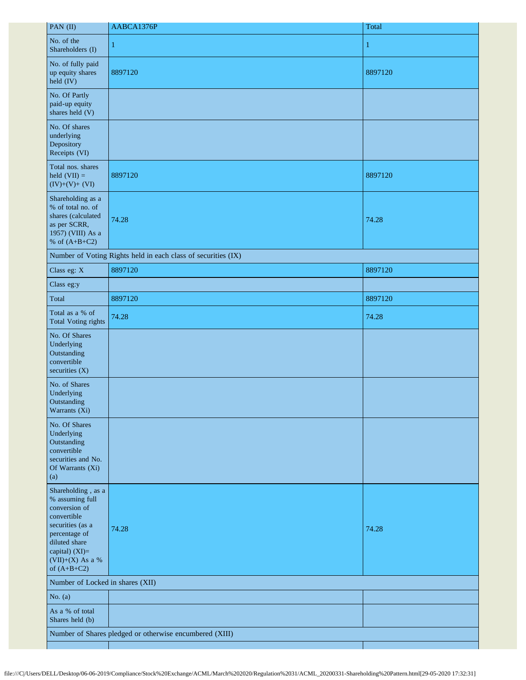| PAN (II)                                                                                                                                                                           | AABCA1376P                                                    | Total        |
|------------------------------------------------------------------------------------------------------------------------------------------------------------------------------------|---------------------------------------------------------------|--------------|
| No. of the<br>Shareholders (I)                                                                                                                                                     | $\mathbf{1}$                                                  | $\mathbf{1}$ |
| No. of fully paid<br>up equity shares<br>$\text{held (IV)}$                                                                                                                        | 8897120                                                       | 8897120      |
| No. Of Partly<br>paid-up equity<br>shares held (V)                                                                                                                                 |                                                               |              |
| No. Of shares<br>underlying<br>Depository<br>Receipts (VI)                                                                                                                         |                                                               |              |
| Total nos. shares<br>held $(VII) =$<br>$(IV)+(V)+(VI)$                                                                                                                             | 8897120                                                       | 8897120      |
| Shareholding as a<br>% of total no. of<br>shares (calculated<br>as per SCRR,<br>1957) (VIII) As a<br>% of $(A+B+C2)$                                                               | 74.28                                                         | 74.28        |
|                                                                                                                                                                                    | Number of Voting Rights held in each class of securities (IX) |              |
| Class eg: X                                                                                                                                                                        | 8897120                                                       | 8897120      |
| Class eg:y                                                                                                                                                                         |                                                               |              |
| Total                                                                                                                                                                              | 8897120                                                       | 8897120      |
| Total as a % of<br><b>Total Voting rights</b>                                                                                                                                      | 74.28                                                         | 74.28        |
| No. Of Shares<br>Underlying<br>Outstanding<br>convertible<br>securities $(X)$                                                                                                      |                                                               |              |
| No. of Shares<br>Underlying<br>Outstanding<br>Warrants (Xi)                                                                                                                        |                                                               |              |
| No. Of Shares<br>Underlying<br>Outstanding<br>convertible<br>securities and No.<br>Of Warrants (Xi)<br>(a)                                                                         |                                                               |              |
| Shareholding, as a<br>% assuming full<br>conversion of<br>convertible<br>securities (as a<br>percentage of<br>diluted share<br>capital) (XI)=<br>(VII)+(X) As a %<br>of $(A+B+C2)$ | 74.28                                                         | 74.28        |
| Number of Locked in shares (XII)                                                                                                                                                   |                                                               |              |
| No. $(a)$                                                                                                                                                                          |                                                               |              |
| As a % of total<br>Shares held (b)                                                                                                                                                 |                                                               |              |
|                                                                                                                                                                                    | Number of Shares pledged or otherwise encumbered (XIII)       |              |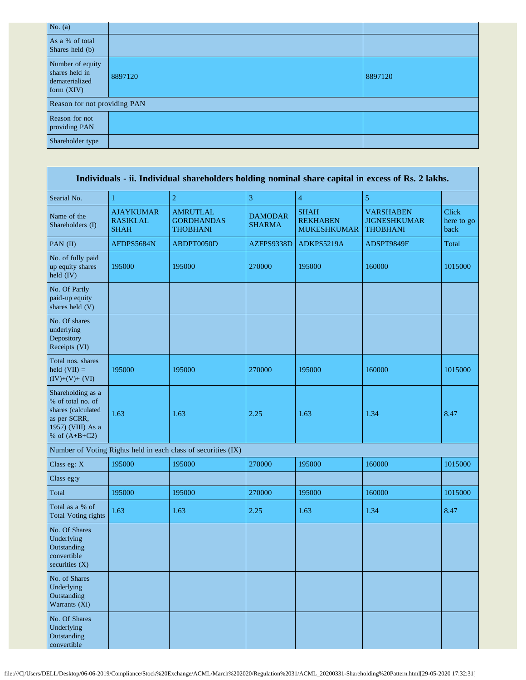| No. $(a)$                                                            |         |         |
|----------------------------------------------------------------------|---------|---------|
| As a % of total<br>Shares held (b)                                   |         |         |
| Number of equity<br>shares held in<br>dematerialized<br>form $(XIV)$ | 8897120 | 8897120 |
| Reason for not providing PAN                                         |         |         |
| Reason for not<br>providing PAN                                      |         |         |
| Shareholder type                                                     |         |         |

| Individuals - ii. Individual shareholders holding nominal share capital in excess of Rs. 2 lakhs.                    |                                                    |                                                               |                                 |                                                      |                                                            |                                    |
|----------------------------------------------------------------------------------------------------------------------|----------------------------------------------------|---------------------------------------------------------------|---------------------------------|------------------------------------------------------|------------------------------------------------------------|------------------------------------|
| Searial No.                                                                                                          | $\mathbf{1}$                                       | $\overline{2}$                                                | 3                               | $\overline{4}$                                       | 5                                                          |                                    |
| Name of the<br>Shareholders (I)                                                                                      | <b>AJAYKUMAR</b><br><b>RASIKLAL</b><br><b>SHAH</b> | <b>AMRUTLAL</b><br><b>GORDHANDAS</b><br><b>THOBHANI</b>       | <b>DAMODAR</b><br><b>SHARMA</b> | <b>SHAH</b><br><b>REKHABEN</b><br><b>MUKESHKUMAR</b> | <b>VARSHABEN</b><br><b>JIGNESHKUMAR</b><br><b>THOBHANI</b> | <b>Click</b><br>here to go<br>back |
| PAN (II)                                                                                                             | AFDPS5684N                                         | ABDPT0050D                                                    | AZFPS9338D                      | ADKPS5219A                                           | ADSPT9849F                                                 | Total                              |
| No. of fully paid<br>up equity shares<br>held (IV)                                                                   | 195000                                             | 195000                                                        | 270000                          | 195000                                               | 160000                                                     | 1015000                            |
| No. Of Partly<br>paid-up equity<br>shares held (V)                                                                   |                                                    |                                                               |                                 |                                                      |                                                            |                                    |
| No. Of shares<br>underlying<br>Depository<br>Receipts (VI)                                                           |                                                    |                                                               |                                 |                                                      |                                                            |                                    |
| Total nos. shares<br>held $(VII) =$<br>$(IV)+(V)+(VI)$                                                               | 195000                                             | 195000                                                        | 270000                          | 195000                                               | 160000                                                     | 1015000                            |
| Shareholding as a<br>% of total no. of<br>shares (calculated<br>as per SCRR,<br>1957) (VIII) As a<br>% of $(A+B+C2)$ | 1.63                                               | 1.63                                                          | 2.25                            | 1.63                                                 | 1.34                                                       | 8.47                               |
|                                                                                                                      |                                                    | Number of Voting Rights held in each class of securities (IX) |                                 |                                                      |                                                            |                                    |
| Class eg: X                                                                                                          | 195000                                             | 195000                                                        | 270000                          | 195000                                               | 160000                                                     | 1015000                            |
| Class eg:y                                                                                                           |                                                    |                                                               |                                 |                                                      |                                                            |                                    |
| Total                                                                                                                | 195000                                             | 195000                                                        | 270000                          | 195000                                               | 160000                                                     | 1015000                            |
| Total as a % of<br><b>Total Voting rights</b>                                                                        | 1.63                                               | 1.63                                                          | 2.25                            | 1.63                                                 | 1.34                                                       | 8.47                               |
| No. Of Shares<br>Underlying<br>Outstanding<br>convertible<br>securities (X)                                          |                                                    |                                                               |                                 |                                                      |                                                            |                                    |
| No. of Shares<br>Underlying<br>Outstanding<br>Warrants (Xi)                                                          |                                                    |                                                               |                                 |                                                      |                                                            |                                    |
| No. Of Shares<br>Underlying<br>Outstanding<br>convertible                                                            |                                                    |                                                               |                                 |                                                      |                                                            |                                    |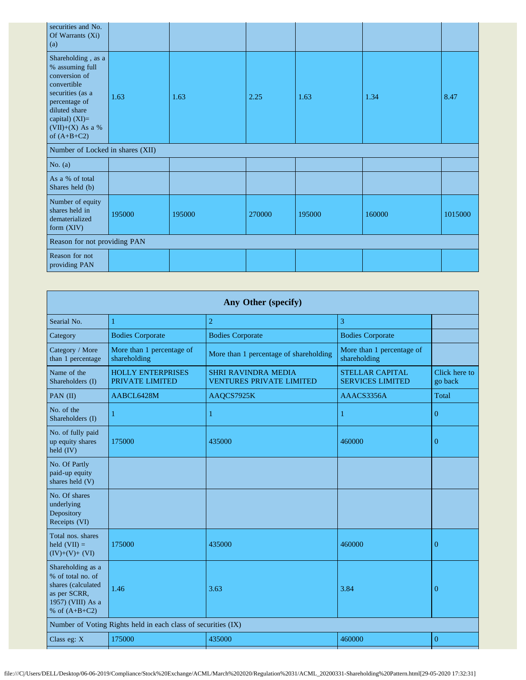| securities and No.<br>Of Warrants (Xi)<br>(a)                                                                                                                                      |        |        |        |        |        |         |
|------------------------------------------------------------------------------------------------------------------------------------------------------------------------------------|--------|--------|--------|--------|--------|---------|
| Shareholding, as a<br>% assuming full<br>conversion of<br>convertible<br>securities (as a<br>percentage of<br>diluted share<br>capital) (XI)=<br>(VII)+(X) As a %<br>of $(A+B+C2)$ | 1.63   | 1.63   | 2.25   | 1.63   | 1.34   | 8.47    |
| Number of Locked in shares (XII)                                                                                                                                                   |        |        |        |        |        |         |
| No. $(a)$                                                                                                                                                                          |        |        |        |        |        |         |
| As a % of total<br>Shares held (b)                                                                                                                                                 |        |        |        |        |        |         |
| Number of equity<br>shares held in<br>dematerialized<br>form (XIV)                                                                                                                 | 195000 | 195000 | 270000 | 195000 | 160000 | 1015000 |
| Reason for not providing PAN                                                                                                                                                       |        |        |        |        |        |         |
| Reason for not<br>providing PAN                                                                                                                                                    |        |        |        |        |        |         |

| Any Other (specify)                                                                                                  |                                             |                                                               |                                                   |                          |  |  |
|----------------------------------------------------------------------------------------------------------------------|---------------------------------------------|---------------------------------------------------------------|---------------------------------------------------|--------------------------|--|--|
| Searial No.                                                                                                          | 1                                           | $\overline{2}$                                                | 3                                                 |                          |  |  |
| Category                                                                                                             | <b>Bodies Corporate</b>                     | <b>Bodies Corporate</b>                                       | <b>Bodies Corporate</b>                           |                          |  |  |
| Category / More<br>than 1 percentage                                                                                 | More than 1 percentage of<br>shareholding   | More than 1 percentage of shareholding                        | More than 1 percentage of<br>shareholding         |                          |  |  |
| Name of the<br>Shareholders (I)                                                                                      | <b>HOLLY ENTERPRISES</b><br>PRIVATE LIMITED | <b>SHRI RAVINDRA MEDIA</b><br><b>VENTURES PRIVATE LIMITED</b> | <b>STELLAR CAPITAL</b><br><b>SERVICES LIMITED</b> | Click here to<br>go back |  |  |
| PAN (II)                                                                                                             | AABCL6428M                                  | AAQCS7925K                                                    | AAACS3356A                                        | Total                    |  |  |
| No. of the<br>Shareholders (I)                                                                                       | 1                                           | 1                                                             | 1                                                 | $\overline{0}$           |  |  |
| No. of fully paid<br>up equity shares<br>held (IV)                                                                   | 175000                                      | 435000                                                        | 460000                                            | $\overline{0}$           |  |  |
| No. Of Partly<br>paid-up equity<br>shares held (V)                                                                   |                                             |                                                               |                                                   |                          |  |  |
| No. Of shares<br>underlying<br>Depository<br>Receipts (VI)                                                           |                                             |                                                               |                                                   |                          |  |  |
| Total nos. shares<br>held $(VII) =$<br>$(IV)+(V)+(VI)$                                                               | 175000                                      | 435000                                                        | 460000                                            | $\overline{0}$           |  |  |
| Shareholding as a<br>% of total no. of<br>shares (calculated<br>as per SCRR,<br>1957) (VIII) As a<br>% of $(A+B+C2)$ | 1.46                                        | 3.63                                                          | 3.84                                              | $\Omega$                 |  |  |
| Number of Voting Rights held in each class of securities (IX)                                                        |                                             |                                                               |                                                   |                          |  |  |
| Class eg: X                                                                                                          | 175000                                      | 435000                                                        | 460000                                            | $\overline{0}$           |  |  |